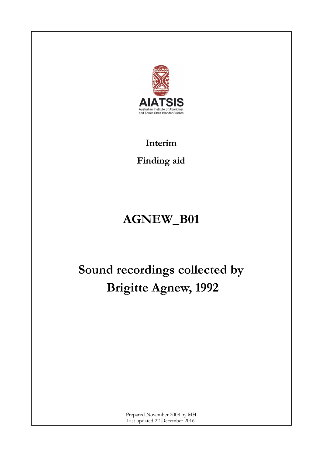

**Interim**

**Finding aid**

## **AGNEW\_B01**

# **Sound recordings collected by Brigitte Agnew, 1992**

Prepared November 2008 by MH Last updated 22 December 2016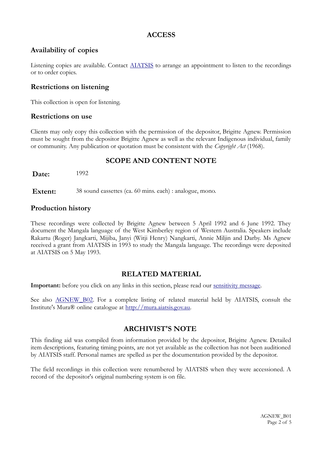#### **ACCESS**

#### **Availability of copies**

Listening copies are available. Contact [AIATSIS](http://www.aiatsis.gov.au/index.html) to arrange an appointment to listen to the recordings or to order copies.

#### **Restrictions on listening**

This collection is open for listening.

#### **Restrictions on use**

Clients may only copy this collection with the permission of the depositor, Brigitte Agnew. Permission must be sought from the depositor Brigitte Agnew as well as the relevant Indigenous individual, family or community. Any publication or quotation must be consistent with the *Copyright Act* (1968).

#### **SCOPE AND CONTENT NOTE**

**Date:** 1992

Extent: 38 sound cassettes (ca. 60 mins. each) : analogue, mono.

#### **Production history**

These recordings were collected by Brigitte Agnew between 5 April 1992 and 6 June 1992. They document the Mangala language of the West Kimberley region of Western Australia. Speakers include Rakartu (Roger) Jangkarti, Mijiba, Janyi (Witji Henry) Nangkarti, Annie Miljin and Darby. Ms Agnew received a grant from AIATSIS in 1993 to study the Mangala language. The recordings were deposited at AIATSIS on 5 May 1993.

#### **RELATED MATERIAL**

**Important:** before you click on any links in this section, please read our <u>sensitivity message</u>.

See also AGNEW B02. For a complete listing of related material held by AIATSIS, consult the Institute's Mura® online catalogue at [http://mura.aiatsis.gov.au.](http://mura.aiatsis.gov.au/)

#### **ARCHIVIST'S NOTE**

This finding aid was compiled from information provided by the depositor, Brigitte Agnew. Detailed item descriptions, featuring timing points, are not yet available as the collection has not been auditioned by AIATSIS staff. Personal names are spelled as per the documentation provided by the depositor.

The field recordings in this collection were renumbered by AIATSIS when they were accessioned. A record of the depositor's original numbering system is on file.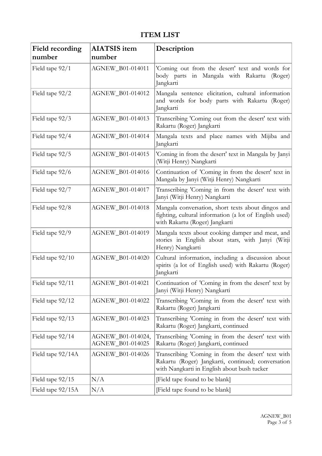### **ITEM LIST**

| <b>Field recording</b> | <b>AIATSIS</b> item                   | Description                                                                                                                                             |
|------------------------|---------------------------------------|---------------------------------------------------------------------------------------------------------------------------------------------------------|
| number                 | number                                |                                                                                                                                                         |
| Field tape 92/1        | AGNEW_B01-014011                      | 'Coming out from the desert' text and words for<br>body parts in Mangala with Rakartu<br>(Roger)<br>Jangkarti                                           |
| Field tape 92/2        | AGNEW_B01-014012                      | Mangala sentence elicitation, cultural information<br>and words for body parts with Rakartu (Roger)<br>Jangkarti                                        |
| Field tape 92/3        | AGNEW_B01-014013                      | Transcribing 'Coming out from the desert' text with<br>Rakartu (Roger) Jangkarti                                                                        |
| Field tape 92/4        | AGNEW_B01-014014                      | Mangala texts and place names with Mijiba and<br>Jangkarti                                                                                              |
| Field tape 92/5        | AGNEW_B01-014015                      | 'Coming in from the desert' text in Mangala by Janyi<br>(Witji Henry) Nangkarti                                                                         |
| Field tape 92/6        | AGNEW_B01-014016                      | Continuation of 'Coming in from the desert' text in<br>Mangala by Janyi (Witji Henry) Nangkarti                                                         |
| Field tape 92/7        | AGNEW_B01-014017                      | Transcribing 'Coming in from the desert' text with<br>Janyi (Witji Henry) Nangkarti                                                                     |
| Field tape 92/8        | AGNEW_B01-014018                      | Mangala conversation, short texts about dingos and<br>fighting, cultural information (a lot of English used)<br>with Rakartu (Roger) Jangkarti          |
| Field tape 92/9        | AGNEW_B01-014019                      | Mangala texts about cooking damper and meat, and<br>stories in English about stars, with Janyi (Witji<br>Henry) Nangkarti                               |
| Field tape 92/10       | AGNEW_B01-014020                      | Cultural information, including a discussion about<br>spirits (a lot of English used) with Rakartu (Roger)<br>Jangkarti                                 |
| Field tape 92/11       | AGNEW_B01-014021                      | Continuation of 'Coming in from the desert' text by<br>Janyi (Witji Henry) Nangkarti                                                                    |
| Field tape 92/12       | AGNEW_B01-014022                      | Transcribing 'Coming in from the desert' text with<br>Rakartu (Roger) Jangkarti                                                                         |
| Field tape 92/13       | AGNEW_B01-014023                      | Transcribing 'Coming in from the desert' text with<br>Rakartu (Roger) Jangkarti, continued                                                              |
| Field tape 92/14       | AGNEW_B01-014024,<br>AGNEW_B01-014025 | Transcribing 'Coming in from the desert' text with<br>Rakartu (Roger) Jangkarti, continued                                                              |
| Field tape 92/14A      | AGNEW_B01-014026                      | Transcribing 'Coming in from the desert' text with<br>Rakartu (Roger) Jangkarti, continued; conversation<br>with Nangkarti in English about bush tucker |
| Field tape $92/15$     | N/A                                   | [Field tape found to be blank]                                                                                                                          |
| Field tape 92/15A      | N/A                                   | [Field tape found to be blank]                                                                                                                          |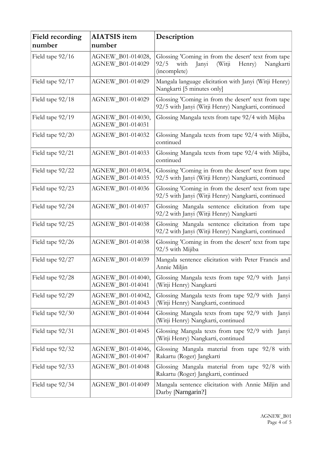| <b>Field recording</b><br>number | <b>AIATSIS</b> item<br>number                | Description                                                                                                                    |
|----------------------------------|----------------------------------------------|--------------------------------------------------------------------------------------------------------------------------------|
| Field tape 92/16                 | AGNEW_B01-014028,<br><b>AGNEW B01-014029</b> | Glossing 'Coming in from the desert' text from tape<br>92/5<br>with<br>(Witji)<br>Janyi<br>Henry)<br>Nangkarti<br>(incomplete) |
| Field tape 92/17                 | AGNEW_B01-014029                             | Mangala language elicitation with Janyi (Witji Henry)<br>Nangkarti [5 minutes only]                                            |
| Field tape 92/18                 | AGNEW_B01-014029                             | Glossing 'Coming in from the desert' text from tape<br>92/5 with Janyi (Witji Henry) Nangkarti, continued                      |
| Field tape 92/19                 | AGNEW_B01-014030,<br>AGNEW_B01-014031        | Glossing Mangala texts from tape 92/4 with Mijiba                                                                              |
| Field tape 92/20                 | AGNEW_B01-014032                             | Glossing Mangala texts from tape 92/4 with Mijiba,<br>continued                                                                |
| Field tape 92/21                 | AGNEW_B01-014033                             | Glossing Mangala texts from tape 92/4 with Mijiba,<br>continued                                                                |
| Field tape 92/22                 | AGNEW_B01-014034,<br>AGNEW_B01-014035        | Glossing 'Coming in from the desert' text from tape<br>92/5 with Janyi (Witji Henry) Nangkarti, continued                      |
| Field tape 92/23                 | AGNEW_B01-014036                             | Glossing 'Coming in from the desert' text from tape<br>92/5 with Janyi (Witji Henry) Nangkarti, continued                      |
| Field tape 92/24                 | AGNEW_B01-014037                             | Glossing Mangala sentence elicitation from tape<br>92/2 with Janyi (Witji Henry) Nangkarti                                     |
| Field tape 92/25                 | AGNEW_B01-014038                             | Glossing Mangala sentence elicitation from tape<br>92/2 with Janyi (Witji Henry) Nangkarti, continued                          |
| Field tape 92/26                 | AGNEW_B01-014038                             | Glossing 'Coming in from the desert' text from tape<br>92/5 with Mijiba                                                        |
| Field tape 92/27                 | AGNEW_B01-014039                             | Mangala sentence elicitation with Peter Francis and<br>Annie Miljin                                                            |
| Field tape 92/28                 | AGNEW B01-014040,<br>AGNEW_B01-014041        | Glossing Mangala texts from tape 92/9 with Janyi<br>(Witji Henry) Nangkarti                                                    |
| Field tape 92/29                 | AGNEW_B01-014042,<br>AGNEW_B01-014043        | Glossing Mangala texts from tape 92/9 with Janyi<br>(Witji Henry) Nangkarti, continued                                         |
| Field tape $92/30$               | AGNEW_B01-014044                             | Glossing Mangala texts from tape 92/9 with Janyi<br>(Witji Henry) Nangkarti, continued                                         |
| Field tape 92/31                 | AGNEW_B01-014045                             | Glossing Mangala texts from tape 92/9 with Janyi<br>(Witji Henry) Nangkarti, continued                                         |
| Field tape 92/32                 | AGNEW_B01-014046,<br>AGNEW_B01-014047        | Glossing Mangala material from tape 92/8 with<br>Rakartu (Roger) Jangkarti                                                     |
| Field tape 92/33                 | AGNEW_B01-014048                             | Glossing Mangala material from tape 92/8 with<br>Rakartu (Roger) Jangkarti, continued                                          |
| Field tape 92/34                 | AGNEW_B01-014049                             | Mangala sentence elicitation with Annie Miljin and<br>Darby [Narngarin?]                                                       |